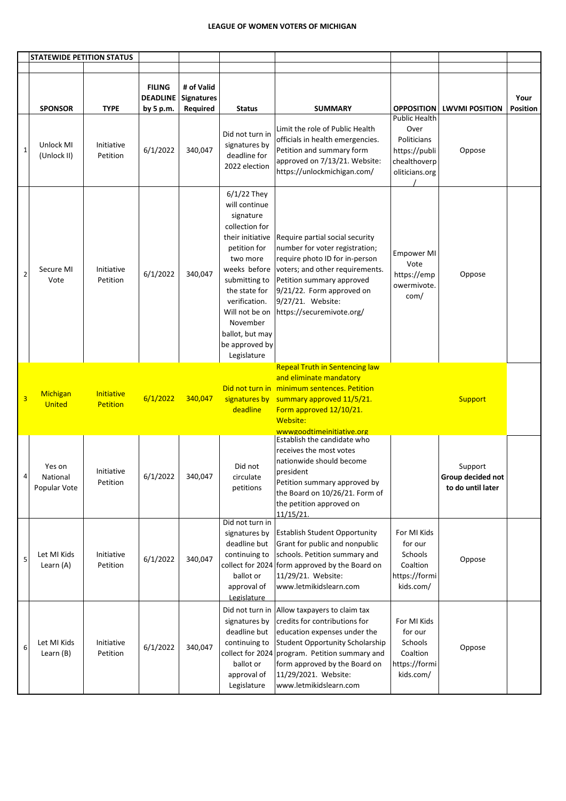|                | <b>STATEWIDE PETITION STATUS</b>   |                               |                                               |                                             |                                                                                                                                                                                                                                                                    |                                                                                                                                                                                                                                                                              |                                                                                    |                                                   |                         |
|----------------|------------------------------------|-------------------------------|-----------------------------------------------|---------------------------------------------|--------------------------------------------------------------------------------------------------------------------------------------------------------------------------------------------------------------------------------------------------------------------|------------------------------------------------------------------------------------------------------------------------------------------------------------------------------------------------------------------------------------------------------------------------------|------------------------------------------------------------------------------------|---------------------------------------------------|-------------------------|
|                | <b>SPONSOR</b>                     | <b>TYPE</b>                   | <b>FILING</b><br><b>DEADLINE</b><br>by 5 p.m. | # of Valid<br><b>Signatures</b><br>Required | <b>Status</b>                                                                                                                                                                                                                                                      | <b>SUMMARY</b>                                                                                                                                                                                                                                                               | <b>OPPOSITION</b><br><b>Public Health</b>                                          | <b>LWVMI POSITION</b>                             | Your<br><b>Position</b> |
| $\mathbf 1$    | Unlock MI<br>(Unlock II)           | Initiative<br>Petition        | 6/1/2022                                      | 340,047                                     | Did not turn in<br>signatures by<br>deadline for<br>2022 election                                                                                                                                                                                                  | Limit the role of Public Health<br>officials in health emergencies.<br>Petition and summary form<br>approved on 7/13/21. Website:<br>https://unlockmichigan.com/                                                                                                             | Over<br>Politicians<br>https://publi<br>chealthoverp<br>oliticians.org             | Oppose                                            |                         |
| $\overline{2}$ | Secure MI<br>Vote                  | Initiative<br>Petition        | 6/1/2022                                      | 340,047                                     | $6/1/22$ They<br>will continue<br>signature<br>collection for<br>their initiative<br>petition for<br>two more<br>weeks before<br>submitting to<br>the state for<br>verification.<br>Will not be on<br>November<br>ballot, but may<br>be approved by<br>Legislature | Require partial social security<br>number for voter registration;<br>require photo ID for in-person<br>voters; and other requirements.<br>Petition summary approved<br>9/21/22. Form approved on<br>9/27/21. Website:<br>https://securemivote.org/                           | <b>Empower MI</b><br>Vote<br>https://emp<br>owermivote.<br>com/                    | Oppose                                            |                         |
| 3              | <b>Michigan</b><br><b>United</b>   | Initiative<br><b>Petition</b> | 6/1/2022                                      | 340,047                                     | deadline                                                                                                                                                                                                                                                           | <b>Repeal Truth in Sentencing law</b><br>and eliminate mandatory<br>Did not turn in minimum sentences. Petition<br>signatures by summary approved 11/5/21.<br>Form approved 12/10/21.<br>Website:<br>wwwgoodtimeinitiative.org                                               |                                                                                    | <b>Support</b>                                    |                         |
|                | Yes on<br>National<br>Popular Vote | Initiative<br>Petition        | 6/1/2022                                      | 340,047                                     | Did not<br>circulate<br>petitions                                                                                                                                                                                                                                  | Establish the candidate who<br>receives the most votes<br>nationwide should become<br>president<br>Petition summary approved by<br>the Board on 10/26/21. Form of<br>the petition approved on<br>11/15/21.                                                                   |                                                                                    | Support<br>Group decided not<br>to do until later |                         |
| 5              | Let MI Kids<br>Learn (A)           | Initiative<br>Petition        | 6/1/2022                                      | 340,047                                     | Did not turn in<br>signatures by<br>deadline but<br>continuing to<br>ballot or<br>approval of<br>Legislature                                                                                                                                                       | <b>Establish Student Opportunity</b><br>Grant for public and nonpublic<br>schools. Petition summary and<br>collect for 2024 form approved by the Board on<br>11/29/21. Website:<br>www.letmikidslearn.com                                                                    | For MI Kids<br>for our<br><b>Schools</b><br>Coaltion<br>https://formi<br>kids.com/ | Oppose                                            |                         |
| 6              | Let MI Kids<br>Learn (B)           | Initiative<br>Petition        | 6/1/2022                                      | 340,047                                     | Did not turn in<br>signatures by<br>deadline but<br>continuing to<br>ballot or<br>approval of<br>Legislature                                                                                                                                                       | Allow taxpayers to claim tax<br>credits for contributions for<br>education expenses under the<br><b>Student Opportunity Scholarship</b><br>collect for 2024 program. Petition summary and<br>form approved by the Board on<br>11/29/2021. Website:<br>www.letmikidslearn.com | For MI Kids<br>for our<br>Schools<br>Coaltion<br>https://formi<br>kids.com/        | Oppose                                            |                         |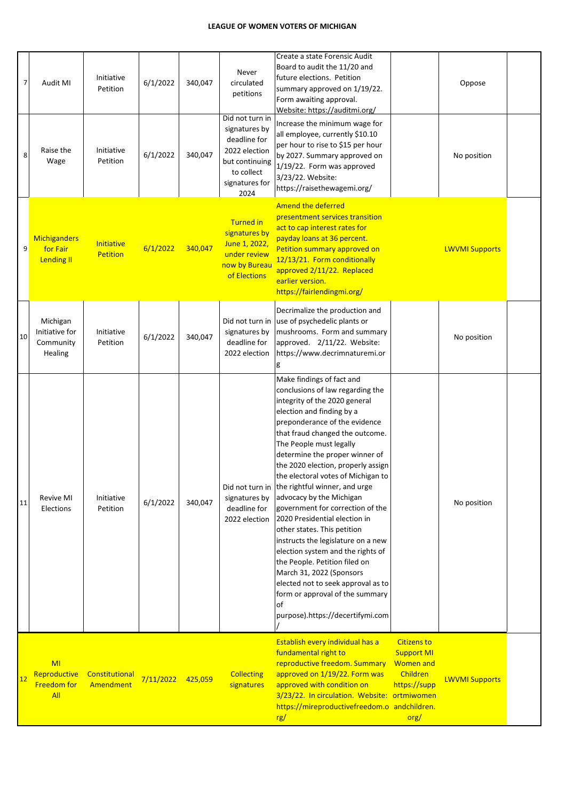| $\overline{7}$ | Audit MI                                             | Initiative<br>Petition               | 6/1/2022          | 340,047 | Never<br>circulated<br>petitions                                                                                            | Create a state Forensic Audit<br>Board to audit the 11/20 and<br>future elections. Petition<br>summary approved on 1/19/22.<br>Form awaiting approval.<br>Website: https://auditmi.org/                                                                                                                                                                                                                                                                                                                                                                                                                                                                                                                                                                                     |                                                                                                 | Oppose                |  |
|----------------|------------------------------------------------------|--------------------------------------|-------------------|---------|-----------------------------------------------------------------------------------------------------------------------------|-----------------------------------------------------------------------------------------------------------------------------------------------------------------------------------------------------------------------------------------------------------------------------------------------------------------------------------------------------------------------------------------------------------------------------------------------------------------------------------------------------------------------------------------------------------------------------------------------------------------------------------------------------------------------------------------------------------------------------------------------------------------------------|-------------------------------------------------------------------------------------------------|-----------------------|--|
| 8              | Raise the<br>Wage                                    | Initiative<br>Petition               | 6/1/2022          | 340,047 | Did not turn in<br>signatures by<br>deadline for<br>2022 election<br>but continuing<br>to collect<br>signatures for<br>2024 | Increase the minimum wage for<br>all employee, currently \$10.10<br>per hour to rise to \$15 per hour<br>by 2027. Summary approved on<br>1/19/22. Form was approved<br>3/23/22. Website:<br>https://raisethewagemi.org/                                                                                                                                                                                                                                                                                                                                                                                                                                                                                                                                                     |                                                                                                 | No position           |  |
| 9              | <b>Michiganders</b><br>for Fair<br><b>Lending II</b> | <b>Initiative</b><br><b>Petition</b> | 6/1/2022          | 340,047 | <b>Turned in</b><br>signatures by<br>June 1, 2022,<br>under review<br>now by Bureau<br>of Elections                         | Amend the deferred<br>presentment services transition<br>act to cap interest rates for<br>payday loans at 36 percent.<br>Petition summary approved on<br>12/13/21. Form conditionally<br>approved 2/11/22. Replaced<br>earlier version.<br>https://fairlendingmi.org/                                                                                                                                                                                                                                                                                                                                                                                                                                                                                                       |                                                                                                 | <b>LWVMI Supports</b> |  |
| 10             | Michigan<br>Initiative for<br>Community<br>Healing   | Initiative<br>Petition               | 6/1/2022          | 340,047 | signatures by<br>deadline for<br>2022 election                                                                              | Decrimalize the production and<br>Did not turn in use of psychedelic plants or<br>mushrooms. Form and summary<br>approved. 2/11/22. Website:<br>https://www.decrimnaturemi.or<br>g                                                                                                                                                                                                                                                                                                                                                                                                                                                                                                                                                                                          |                                                                                                 | No position           |  |
| 11             | <b>Revive MI</b><br>Elections                        | Initiative<br>Petition               | 6/1/2022          | 340,047 | Did not turn in<br>signatures by<br>deadline for<br>2022 election                                                           | Make findings of fact and<br>conclusions of law regarding the<br>integrity of the 2020 general<br>election and finding by a<br>preponderance of the evidence<br>that fraud changed the outcome.<br>The People must legally<br>determine the proper winner of<br>the 2020 election, properly assign<br>the electoral votes of Michigan to<br>the rightful winner, and urge<br>advocacy by the Michigan<br>government for correction of the<br>2020 Presidential election in<br>other states. This petition<br>instructs the legislature on a new<br>election system and the rights of<br>the People. Petition filed on<br>March 31, 2022 (Sponsors<br>elected not to seek approval as to<br>form or approval of the summary<br><b>of</b><br>purpose).https://decertifymi.com |                                                                                                 | No position           |  |
| 12             | MI<br>Reproductive<br><b>Freedom for</b><br>All      | Constitutional<br>Amendment          | 7/11/2022 425,059 |         | <b>Collecting</b><br>signatures                                                                                             | Establish every individual has a<br>fundamental right to<br>reproductive freedom. Summary<br>approved on 1/19/22. Form was<br>approved with condition on<br>3/23/22. In circulation. Website: ortmiwomen<br>https://mireproductivefreedom.o andchildren.<br>rg/                                                                                                                                                                                                                                                                                                                                                                                                                                                                                                             | <b>Citizens to</b><br><b>Support MI</b><br><b>Women and</b><br>Children<br>https://supp<br>org/ | <b>LWVMI Supports</b> |  |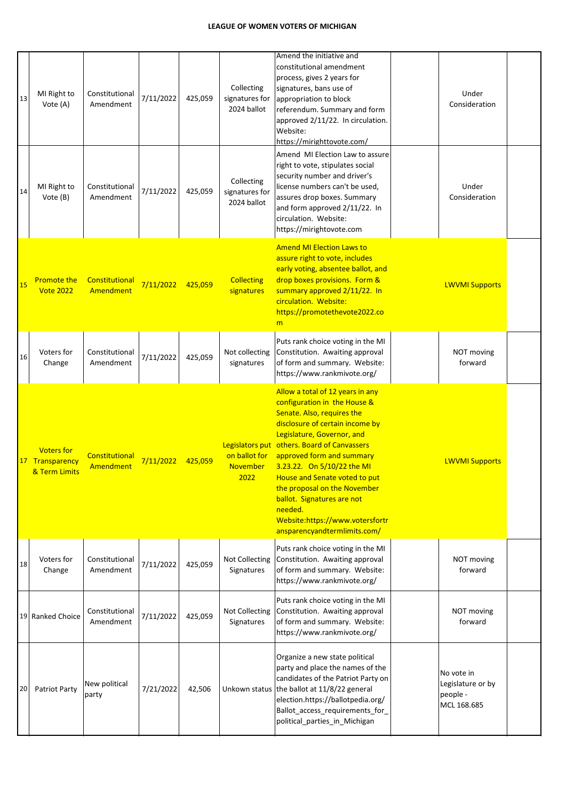| 13 | MI Right to<br>Vote (A)                            | Constitutional<br>Amendment | 7/11/2022 | 425,059 | Collecting<br>signatures for<br>2024 ballot | Amend the initiative and<br>constitutional amendment<br>process, gives 2 years for<br>signatures, bans use of<br>appropriation to block<br>referendum. Summary and form<br>approved 2/11/22. In circulation.<br>Website:<br>https://mirighttovote.com/                                                                                                                                                                                                 | Under<br>Consideration                                     |  |
|----|----------------------------------------------------|-----------------------------|-----------|---------|---------------------------------------------|--------------------------------------------------------------------------------------------------------------------------------------------------------------------------------------------------------------------------------------------------------------------------------------------------------------------------------------------------------------------------------------------------------------------------------------------------------|------------------------------------------------------------|--|
| 14 | MI Right to<br>Vote (B)                            | Constitutional<br>Amendment | 7/11/2022 | 425,059 | Collecting<br>signatures for<br>2024 ballot | Amend MI Election Law to assure<br>right to vote, stipulates social<br>security number and driver's<br>license numbers can't be used,<br>assures drop boxes. Summary<br>and form approved 2/11/22. In<br>circulation. Website:<br>https://mirightovote.com                                                                                                                                                                                             | Under<br>Consideration                                     |  |
| 15 | <b>Promote the</b><br><b>Vote 2022</b>             | Constitutional<br>Amendment | 7/11/2022 | 425,059 | <b>Collecting</b><br>signatures             | <b>Amend MI Election Laws to</b><br>assure right to vote, includes<br>early voting, absentee ballot, and<br>drop boxes provisions. Form &<br>summary approved 2/11/22. In<br>circulation. Website:<br>https://promotethevote2022.co<br>m                                                                                                                                                                                                               | <b>LWVMI Supports</b>                                      |  |
| 16 | Voters for<br>Change                               | Constitutional<br>Amendment | 7/11/2022 | 425,059 | Not collecting<br>signatures                | Puts rank choice voting in the MI<br>Constitution. Awaiting approval<br>of form and summary. Website:<br>https://www.rankmivote.org/                                                                                                                                                                                                                                                                                                                   | NOT moving<br>forward                                      |  |
|    | <b>Voters for</b><br>Transparency<br>& Term Limits | Constitutional<br>Amendment | 7/11/2022 | 425,059 | on ballot for<br><b>November</b><br>2022    | Allow a total of 12 years in any<br>configuration in the House &<br>Senate. Also, requires the<br>disclosure of certain income by<br>Legislature, Governor, and<br>Legislators put others. Board of Canvassers<br>approved form and summary<br>3.23.22. On 5/10/22 the MI<br>House and Senate voted to put<br>the proposal on the November<br>ballot. Signatures are not<br>needed.<br>Website:https://www.votersfortr<br>ansparencyandtermlimits.com/ | <b>LWVMI Supports</b>                                      |  |
| 18 | Voters for<br>Change                               | Constitutional<br>Amendment | 7/11/2022 | 425,059 | <b>Not Collecting</b><br>Signatures         | Puts rank choice voting in the MI<br>Constitution. Awaiting approval<br>of form and summary. Website:<br>https://www.rankmivote.org/                                                                                                                                                                                                                                                                                                                   | NOT moving<br>forward                                      |  |
|    | 19 Ranked Choice                                   | Constitutional<br>Amendment | 7/11/2022 | 425,059 | Not Collecting<br>Signatures                | Puts rank choice voting in the MI<br>Constitution. Awaiting approval<br>of form and summary. Website:<br>https://www.rankmivote.org/                                                                                                                                                                                                                                                                                                                   | NOT moving<br>forward                                      |  |
| 20 | Patriot Party                                      | New political<br>party      | 7/21/2022 | 42,506  |                                             | Organize a new state political<br>party and place the names of the<br>candidates of the Patriot Party on<br>Unkown status the ballot at 11/8/22 general<br>election.https://ballotpedia.org/<br>Ballot_access_requirements_for_<br>political_parties_in_Michigan                                                                                                                                                                                       | No vote in<br>Legislature or by<br>people -<br>MCL 168.685 |  |